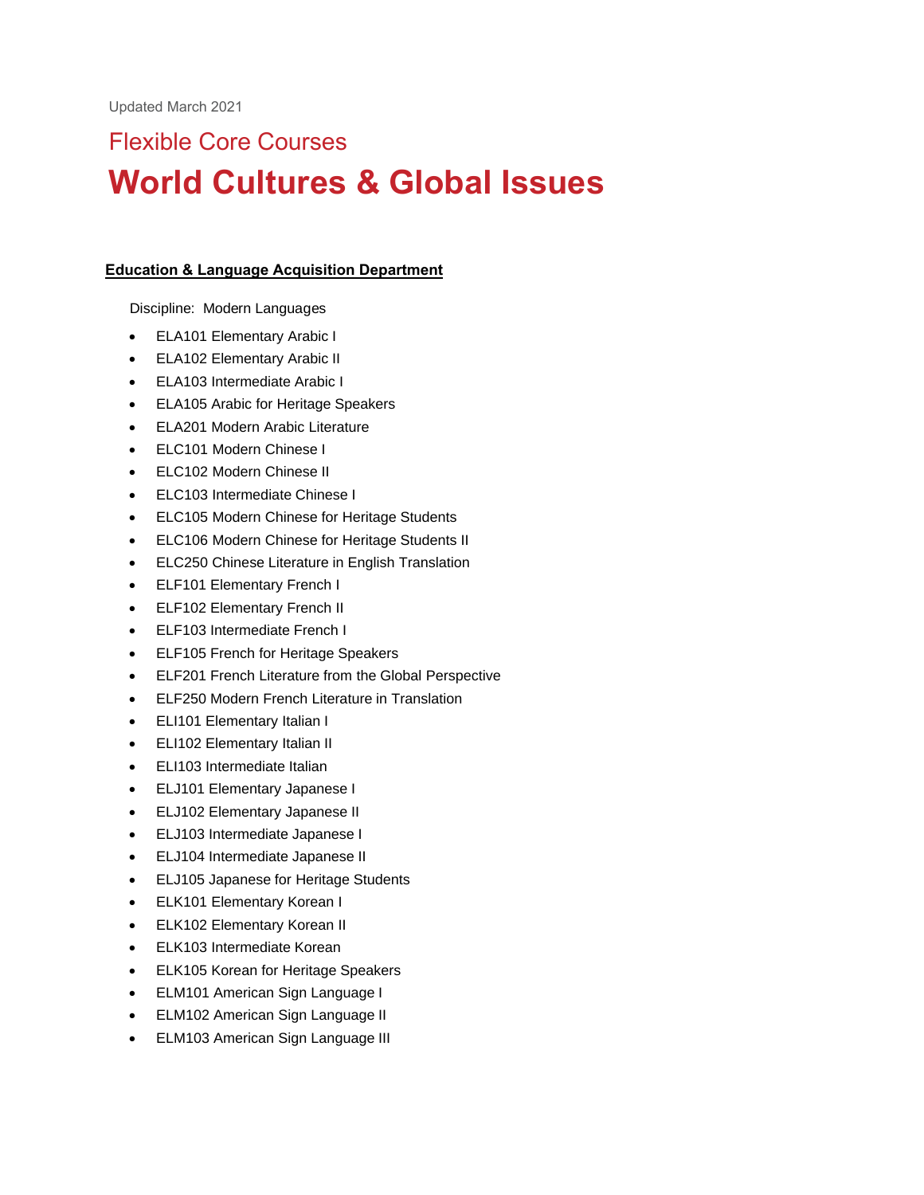# Flexible Core Courses **World Cultures & Global Issues**

## **Education & Language Acquisition Department**

Discipline: Modern Languages

- ELA101 Elementary Arabic I
- ELA102 Elementary Arabic II
- ELA103 Intermediate Arabic I
- ELA105 Arabic for Heritage Speakers
- ELA201 Modern Arabic Literature
- ELC101 Modern Chinese I
- ELC102 Modern Chinese II
- ELC103 Intermediate Chinese I
- ELC105 Modern Chinese for Heritage Students
- ELC106 Modern Chinese for Heritage Students II
- ELC250 Chinese Literature in English Translation
- ELF101 Elementary French I
- ELF102 Elementary French II
- ELF103 Intermediate French I
- ELF105 French for Heritage Speakers
- ELF201 French Literature from the Global Perspective
- ELF250 Modern French Literature in Translation
- ELI101 Elementary Italian I
- ELI102 Elementary Italian II
- ELI103 Intermediate Italian
- ELJ101 Elementary Japanese I
- ELJ102 Elementary Japanese II
- ELJ103 Intermediate Japanese I
- ELJ104 Intermediate Japanese II
- ELJ105 Japanese for Heritage Students
- ELK101 Elementary Korean I
- ELK102 Elementary Korean II
- ELK103 Intermediate Korean
- ELK105 Korean for Heritage Speakers
- ELM101 American Sign Language I
- ELM102 American Sign Language II
- ELM103 American Sign Language III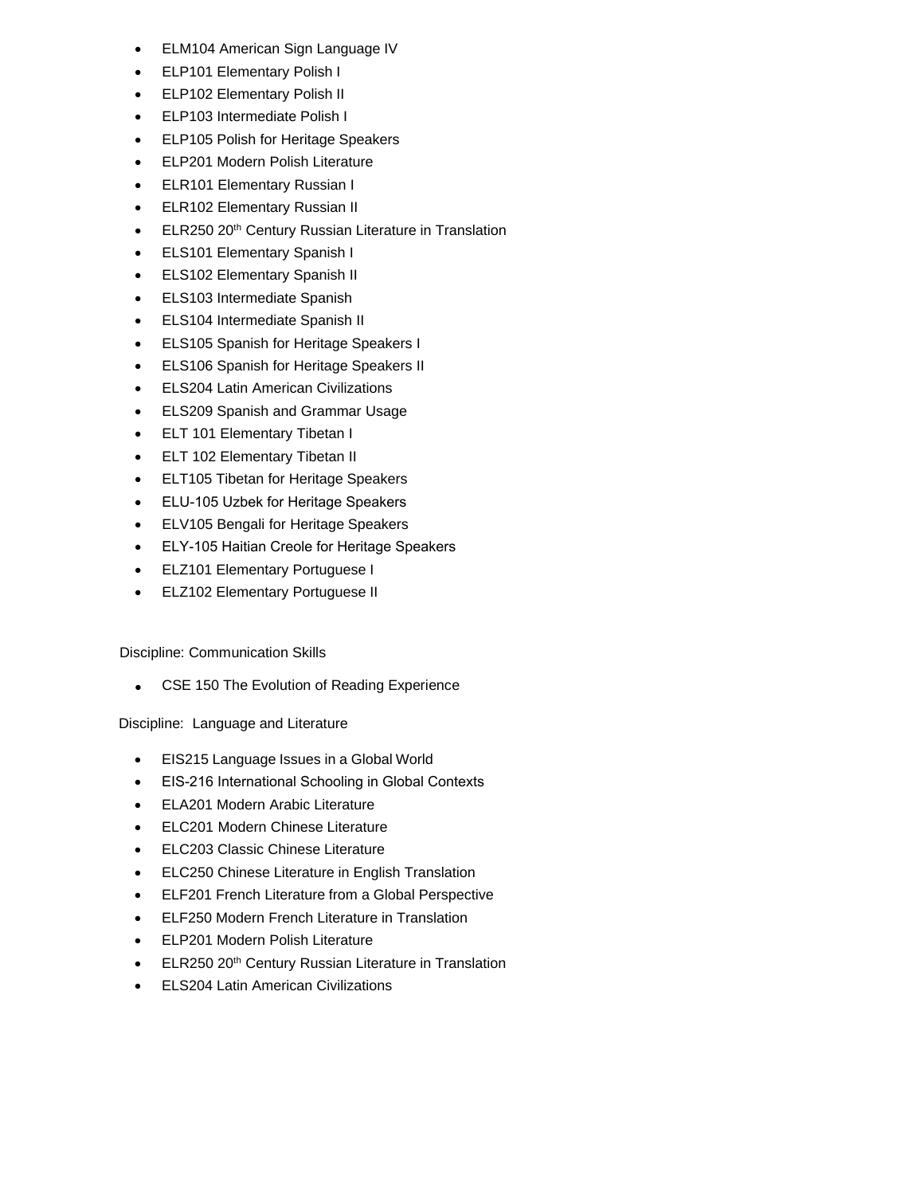- ELM104 American Sign Language IV
- ELP101 Elementary Polish I
- ELP102 Elementary Polish II
- ELP103 Intermediate Polish I
- ELP105 Polish for Heritage Speakers
- ELP201 Modern Polish Literature
- ELR101 Elementary Russian I
- ELR102 Elementary Russian II
- ELR250 20<sup>th</sup> Century Russian Literature in Translation
- ELS101 Elementary Spanish I
- ELS102 Elementary Spanish II
- ELS103 Intermediate Spanish
- ELS104 Intermediate Spanish II
- ELS105 Spanish for Heritage Speakers I
- ELS106 Spanish for Heritage Speakers II
- ELS204 Latin American Civilizations
- ELS209 Spanish and Grammar Usage
- ELT 101 Elementary Tibetan I
- ELT 102 Elementary Tibetan II
- ELT105 Tibetan for Heritage Speakers
- ELU-105 Uzbek for Heritage Speakers
- ELV105 Bengali for Heritage Speakers
- ELY-105 Haitian Creole for Heritage Speakers
- ELZ101 Elementary Portuguese I
- ELZ102 Elementary Portuguese II

Discipline: Communication Skills

• CSE 150 The Evolution of Reading Experience

Discipline: Language and Literature

- EIS215 Language Issues in a Global World
- EIS-216 International Schooling in Global Contexts
- ELA201 Modern Arabic Literature
- ELC201 Modern Chinese Literature
- ELC203 Classic Chinese Literature
- ELC250 Chinese Literature in English Translation
- ELF201 French Literature from a Global Perspective
- ELF250 Modern French Literature in Translation
- ELP201 Modern Polish Literature
- ELR250 20<sup>th</sup> Century Russian Literature in Translation
- ELS204 Latin American Civilizations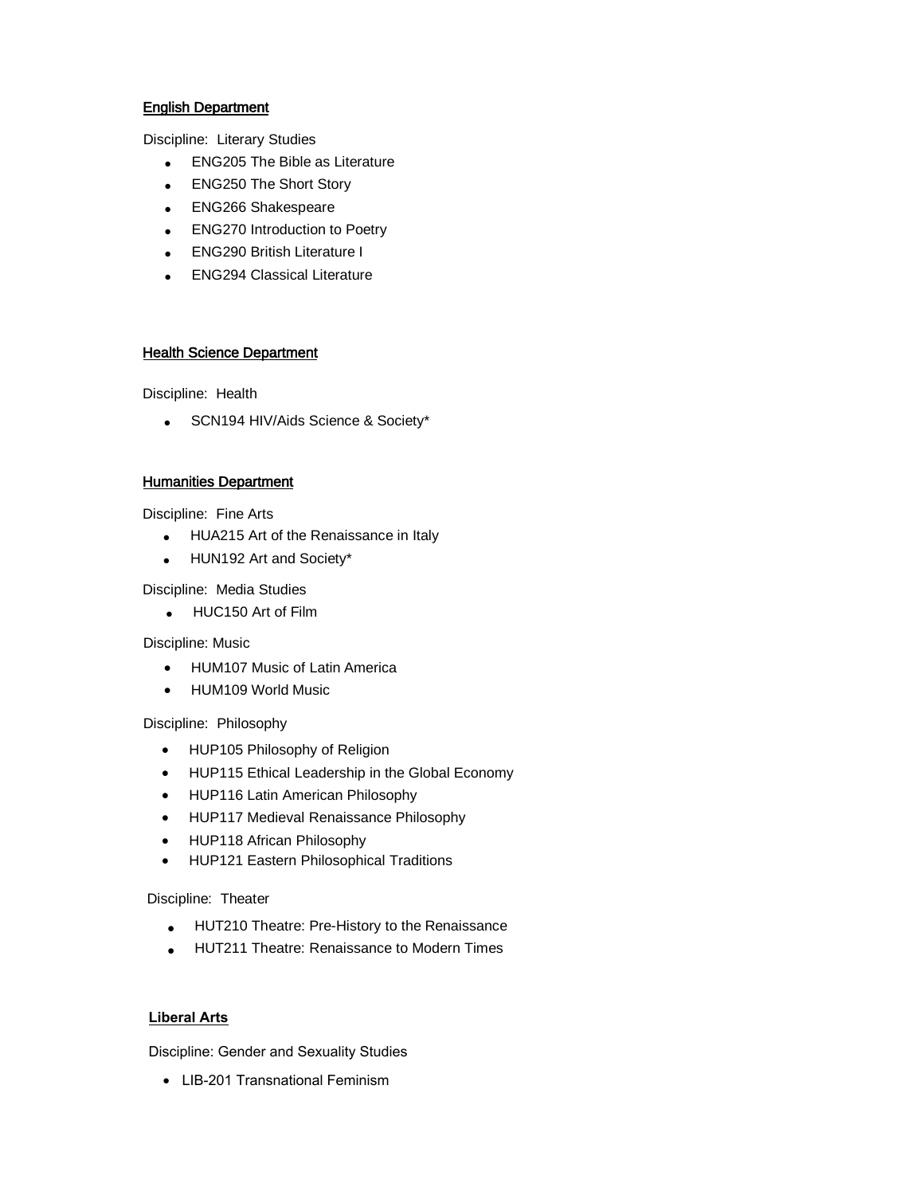## English Department

Discipline: Literary Studies

- ENG205 The Bible as Literature
- ENG250 The Short Story
- ENG266 Shakespeare
- ENG270 Introduction to Poetry
- ENG290 British Literature I
- ENG294 Classical Literature

### **Health Science Department**

Discipline: Health

• SCN194 HIV/Aids Science & Society\*

### Humanities Department

Discipline: Fine Arts

- HUA215 Art of the Renaissance in Italy
- HUN192 Art and Society\*

### Discipline: Media Studies

• HUC150 Art of Film

### Discipline: Music

- HUM107 Music of Latin America
- HUM109 World Music

Discipline: Philosophy

- HUP105 Philosophy of Religion
- HUP115 Ethical Leadership in the Global Economy
- HUP116 Latin American Philosophy
- HUP117 Medieval Renaissance Philosophy
- HUP118 African Philosophy
- HUP121 Eastern Philosophical Traditions

### Discipline: Theater

- HUT210 Theatre: Pre-History to the Renaissance
- HUT211 Theatre: Renaissance to Modern Times

### **Liberal Arts**

Discipline: Gender and Sexuality Studies

• LIB-201 Transnational Feminism